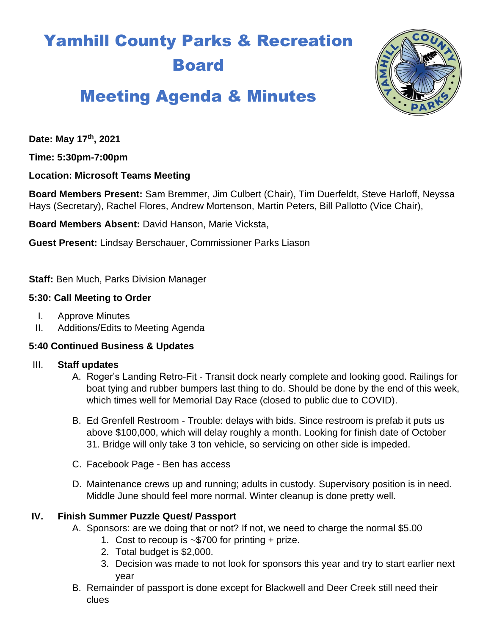# Yamhill County Parks & Recreation Board



# Meeting Agenda & Minutes

**Date: May 17th, 2021**

**Time: 5:30pm-7:00pm**

**Location: Microsoft Teams Meeting**

**Board Members Present:** Sam Bremmer, Jim Culbert (Chair), Tim Duerfeldt, Steve Harloff, Neyssa Hays (Secretary), Rachel Flores, Andrew Mortenson, Martin Peters, Bill Pallotto (Vice Chair),

**Board Members Absent:** David Hanson, Marie Vicksta,

**Guest Present:** Lindsay Berschauer, Commissioner Parks Liason

**Staff:** Ben Much, Parks Division Manager

#### **5:30: Call Meeting to Order**

- I. Approve Minutes
- II. Additions/Edits to Meeting Agenda

#### **5:40 Continued Business & Updates**

#### III. **Staff updates**

- A. Roger's Landing Retro-Fit Transit dock nearly complete and looking good. Railings for boat tying and rubber bumpers last thing to do. Should be done by the end of this week, which times well for Memorial Day Race (closed to public due to COVID).
- B. Ed Grenfell Restroom Trouble: delays with bids. Since restroom is prefab it puts us above \$100,000, which will delay roughly a month. Looking for finish date of October 31. Bridge will only take 3 ton vehicle, so servicing on other side is impeded.
- C. Facebook Page Ben has access
- D. Maintenance crews up and running; adults in custody. Supervisory position is in need. Middle June should feel more normal. Winter cleanup is done pretty well.

#### **IV. Finish Summer Puzzle Quest/ Passport**

- A. Sponsors: are we doing that or not? If not, we need to charge the normal \$5.00
	- 1. Cost to recoup is ~\$700 for printing + prize.
	- 2. Total budget is \$2,000.
	- 3. Decision was made to not look for sponsors this year and try to start earlier next year
- B. Remainder of passport is done except for Blackwell and Deer Creek still need their clues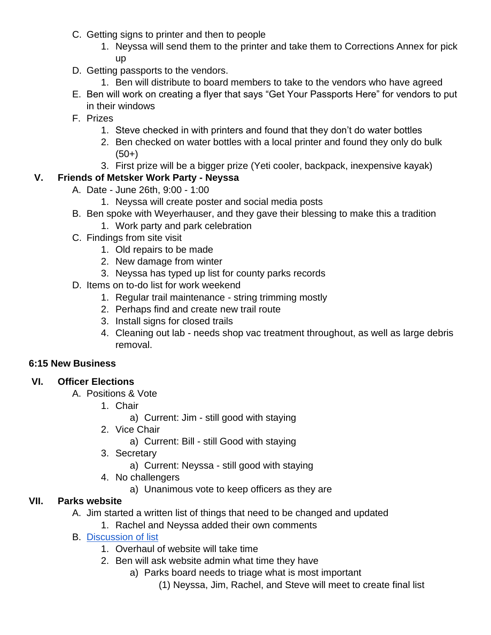- C. Getting signs to printer and then to people
	- 1. Neyssa will send them to the printer and take them to Corrections Annex for pick up
- D. Getting passports to the vendors.
	- 1. Ben will distribute to board members to take to the vendors who have agreed
- E. Ben will work on creating a flyer that says "Get Your Passports Here" for vendors to put in their windows
- F. Prizes
	- 1. Steve checked in with printers and found that they don't do water bottles
	- 2. Ben checked on water bottles with a local printer and found they only do bulk  $(50+)$
	- 3. First prize will be a bigger prize (Yeti cooler, backpack, inexpensive kayak)

# **V. Friends of Metsker Work Party - Neyssa**

- A. Date June 26th, 9:00 1:00
	- 1. Neyssa will create poster and social media posts
- B. Ben spoke with Weyerhauser, and they gave their blessing to make this a tradition
	- 1. Work party and park celebration
- C. Findings from site visit
	- 1. Old repairs to be made
	- 2. New damage from winter
	- 3. Neyssa has typed up list for county parks records
- D. Items on to-do list for work weekend
	- 1. Regular trail maintenance string trimming mostly
	- 2. Perhaps find and create new trail route
	- 3. Install signs for closed trails
	- 4. Cleaning out lab needs shop vac treatment throughout, as well as large debris removal.

#### **6:15 New Business**

#### **VI. Officer Elections**

- A. Positions & Vote
	- 1. Chair
		- a) Current: Jim still good with staying
	- 2. Vice Chair
		- a) Current: Bill still Good with staying
	- 3. Secretary
		- a) Current: Neyssa still good with staying
	- 4. No challengers
		- a) Unanimous vote to keep officers as they are

## **VII. Parks website**

- A. Jim started a written list of things that need to be changed and updated
	- 1. Rachel and Neyssa added their own comments
- B. [Discussion of list](https://docs.google.com/document/d/1dYMBs9hmz8aA5wiIFPALoTXw86lc9QVteQEMIwbD3P4/edit?usp=sharing)
	- 1. Overhaul of website will take time
	- 2. Ben will ask website admin what time they have
		- a) Parks board needs to triage what is most important
			- (1) Neyssa, Jim, Rachel, and Steve will meet to create final list